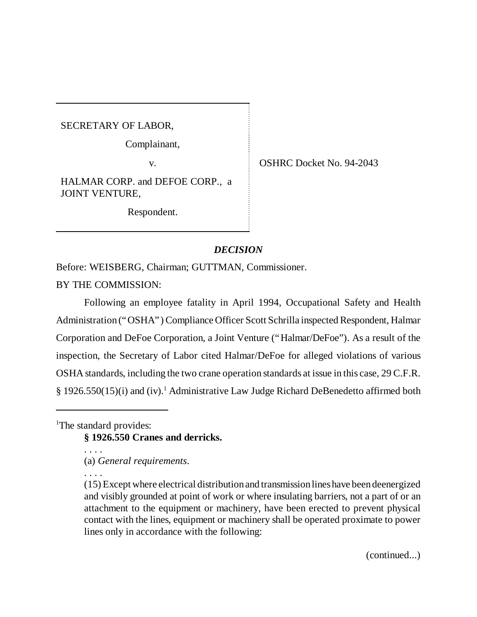SECRETARY OF LABOR,

Complainant,

v. COSHRC Docket No. 94-2043

HALMAR CORP. and DEFOE CORP., a JOINT VENTURE,

Respondent.

# *DECISION*

Before: WEISBERG, Chairman; GUTTMAN, Commissioner.

BY THE COMMISSION:

Following an employee fatality in April 1994, Occupational Safety and Health Administration ("OSHA") Compliance Officer Scott Schrilla inspected Respondent, Halmar Corporation and DeFoe Corporation, a Joint Venture ("Halmar/DeFoe"). As a result of the inspection, the Secretary of Labor cited Halmar/DeFoe for alleged violations of various OSHA standards, including the two crane operation standards at issue in this case, 29 C.F.R. § 1926.550(15)(i) and (iv).<sup>1</sup> Administrative Law Judge Richard DeBenedetto affirmed both

<sup>1</sup>The standard provides:

**§ 1926.550 Cranes and derricks.**

. . . . (a) *General requirements*.

. . . .

(continued...)

<sup>(15)</sup> Except where electrical distribution and transmission lines have been deenergized and visibly grounded at point of work or where insulating barriers, not a part of or an attachment to the equipment or machinery, have been erected to prevent physical contact with the lines, equipment or machinery shall be operated proximate to power lines only in accordance with the following: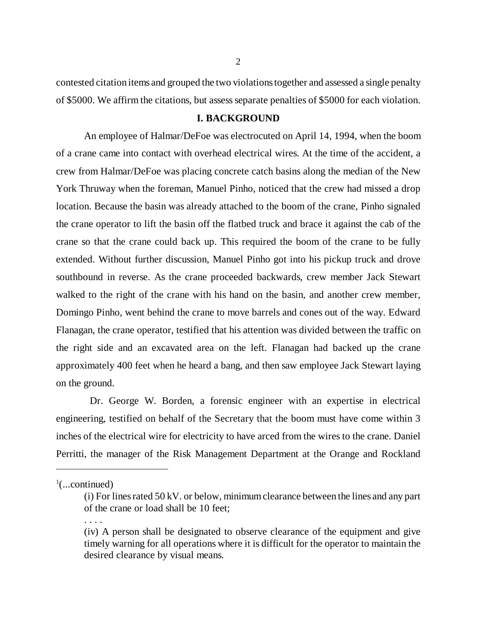contested citation items and grouped the two violations together and assessed a single penalty of \$5000. We affirm the citations, but assess separate penalties of \$5000 for each violation.

## **I. BACKGROUND**

An employee of Halmar/DeFoe was electrocuted on April 14, 1994, when the boom of a crane came into contact with overhead electrical wires. At the time of the accident, a crew from Halmar/DeFoe was placing concrete catch basins along the median of the New York Thruway when the foreman, Manuel Pinho, noticed that the crew had missed a drop location. Because the basin was already attached to the boom of the crane, Pinho signaled the crane operator to lift the basin off the flatbed truck and brace it against the cab of the crane so that the crane could back up. This required the boom of the crane to be fully extended. Without further discussion, Manuel Pinho got into his pickup truck and drove southbound in reverse. As the crane proceeded backwards, crew member Jack Stewart walked to the right of the crane with his hand on the basin, and another crew member, Domingo Pinho, went behind the crane to move barrels and cones out of the way. Edward Flanagan, the crane operator, testified that his attention was divided between the traffic on the right side and an excavated area on the left. Flanagan had backed up the crane approximately 400 feet when he heard a bang, and then saw employee Jack Stewart laying on the ground.

 Dr. George W. Borden, a forensic engineer with an expertise in electrical engineering, testified on behalf of the Secretary that the boom must have come within 3 inches of the electrical wire for electricity to have arced from the wires to the crane. Daniel Perritti, the manager of the Risk Management Department at the Orange and Rockland

. . . .

 $\frac{1}{2}$ (...continued)

<sup>(</sup>i) For lines rated 50 kV. or below, minimum clearance between the lines and any part of the crane or load shall be 10 feet;

<sup>(</sup>iv) A person shall be designated to observe clearance of the equipment and give timely warning for all operations where it is difficult for the operator to maintain the desired clearance by visual means.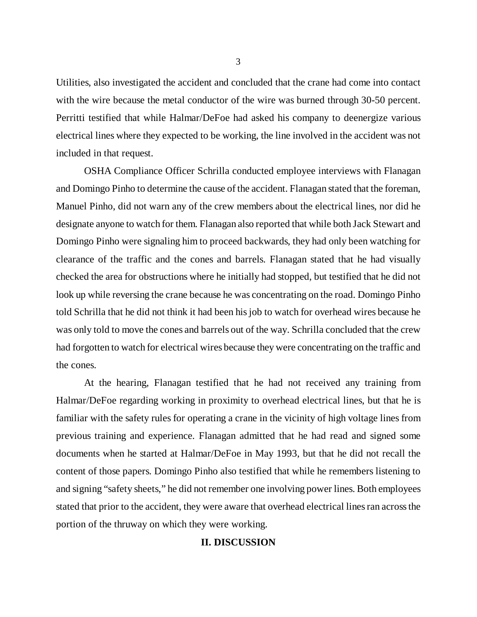Utilities, also investigated the accident and concluded that the crane had come into contact with the wire because the metal conductor of the wire was burned through 30-50 percent. Perritti testified that while Halmar/DeFoe had asked his company to deenergize various electrical lines where they expected to be working, the line involved in the accident was not included in that request.

OSHA Compliance Officer Schrilla conducted employee interviews with Flanagan and Domingo Pinho to determine the cause of the accident. Flanagan stated that the foreman, Manuel Pinho, did not warn any of the crew members about the electrical lines, nor did he designate anyone to watch for them. Flanagan also reported that while both Jack Stewart and Domingo Pinho were signaling him to proceed backwards, they had only been watching for clearance of the traffic and the cones and barrels. Flanagan stated that he had visually checked the area for obstructions where he initially had stopped, but testified that he did not look up while reversing the crane because he was concentrating on the road. Domingo Pinho told Schrilla that he did not think it had been his job to watch for overhead wires because he was only told to move the cones and barrels out of the way. Schrilla concluded that the crew had forgotten to watch for electrical wires because they were concentrating on the traffic and the cones.

At the hearing, Flanagan testified that he had not received any training from Halmar/DeFoe regarding working in proximity to overhead electrical lines, but that he is familiar with the safety rules for operating a crane in the vicinity of high voltage lines from previous training and experience. Flanagan admitted that he had read and signed some documents when he started at Halmar/DeFoe in May 1993, but that he did not recall the content of those papers. Domingo Pinho also testified that while he remembers listening to and signing "safety sheets," he did not remember one involving power lines. Both employees stated that prior to the accident, they were aware that overhead electrical lines ran across the portion of the thruway on which they were working.

#### **II. DISCUSSION**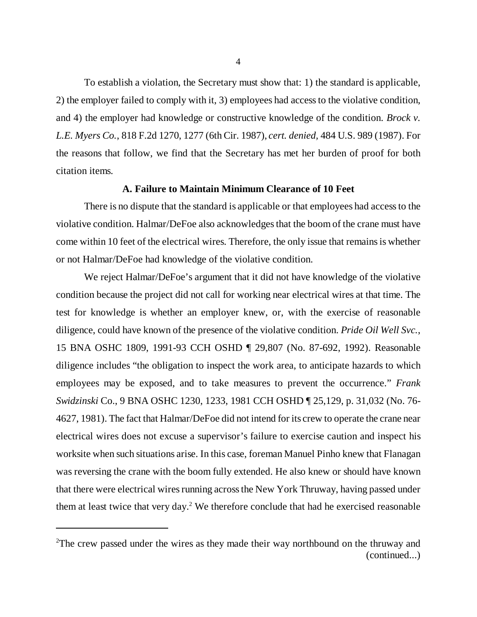To establish a violation, the Secretary must show that: 1) the standard is applicable, 2) the employer failed to comply with it, 3) employees had access to the violative condition, and 4) the employer had knowledge or constructive knowledge of the condition. *Brock v. L.E. Myers Co.*, 818 F.2d 1270, 1277 (6th Cir. 1987), *cert. denied,* 484 U.S. 989 (1987). For the reasons that follow, we find that the Secretary has met her burden of proof for both citation items.

# **A. Failure to Maintain Minimum Clearance of 10 Feet**

There is no dispute that the standard is applicable or that employees had access to the violative condition. Halmar/DeFoe also acknowledges that the boom of the crane must have come within 10 feet of the electrical wires. Therefore, the only issue that remains is whether or not Halmar/DeFoe had knowledge of the violative condition.

We reject Halmar/DeFoe's argument that it did not have knowledge of the violative condition because the project did not call for working near electrical wires at that time. The test for knowledge is whether an employer knew, or, with the exercise of reasonable diligence, could have known of the presence of the violative condition. *Pride Oil Well Svc.*, 15 BNA OSHC 1809, 1991-93 CCH OSHD ¶ 29,807 (No. 87-692, 1992). Reasonable diligence includes "the obligation to inspect the work area, to anticipate hazards to which employees may be exposed, and to take measures to prevent the occurrence." *Frank Swidzinski* Co., 9 BNA OSHC 1230, 1233, 1981 CCH OSHD ¶ 25,129, p. 31,032 (No. 76- 4627, 1981). The fact that Halmar/DeFoe did not intend for its crew to operate the crane near electrical wires does not excuse a supervisor's failure to exercise caution and inspect his worksite when such situations arise. In this case, foreman Manuel Pinho knew that Flanagan was reversing the crane with the boom fully extended. He also knew or should have known that there were electrical wires running across the New York Thruway, having passed under them at least twice that very day.<sup>2</sup> We therefore conclude that had he exercised reasonable

<sup>&</sup>lt;sup>2</sup>The crew passed under the wires as they made their way northbound on the thruway and (continued...)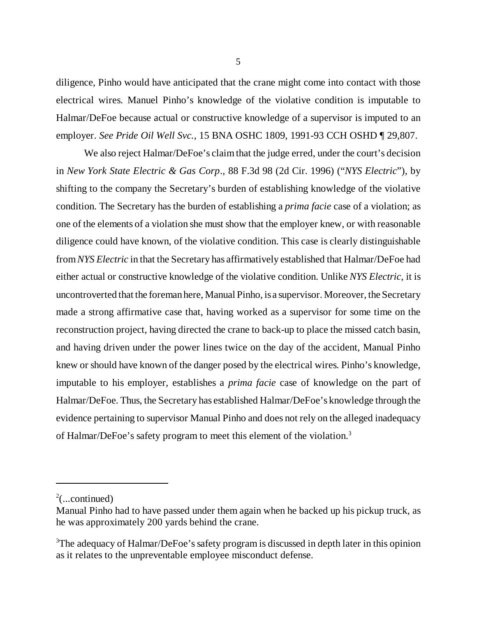diligence, Pinho would have anticipated that the crane might come into contact with those electrical wires. Manuel Pinho's knowledge of the violative condition is imputable to Halmar/DeFoe because actual or constructive knowledge of a supervisor is imputed to an employer. *See Pride Oil Well Svc.*, 15 BNA OSHC 1809, 1991-93 CCH OSHD ¶ 29,807.

We also reject Halmar/DeFoe's claim that the judge erred, under the court's decision in *New York State Electric & Gas Corp*., 88 F.3d 98 (2d Cir. 1996) ("*NYS Electric*"), by shifting to the company the Secretary's burden of establishing knowledge of the violative condition. The Secretary has the burden of establishing a *prima facie* case of a violation; as one of the elements of a violation she must show that the employer knew, or with reasonable diligence could have known, of the violative condition. This case is clearly distinguishable from *NYS Electric* in that the Secretary has affirmatively established that Halmar/DeFoe had either actual or constructive knowledge of the violative condition. Unlike *NYS Electric*, it is uncontroverted that the foreman here, Manual Pinho, is a supervisor. Moreover, the Secretary made a strong affirmative case that, having worked as a supervisor for some time on the reconstruction project, having directed the crane to back-up to place the missed catch basin, and having driven under the power lines twice on the day of the accident, Manual Pinho knew or should have known of the danger posed by the electrical wires. Pinho's knowledge, imputable to his employer, establishes a *prima facie* case of knowledge on the part of Halmar/DeFoe. Thus, the Secretary has established Halmar/DeFoe's knowledge through the evidence pertaining to supervisor Manual Pinho and does not rely on the alleged inadequacy of Halmar/DeFoe's safety program to meet this element of the violation.3

5

 $2$ (...continued)

Manual Pinho had to have passed under them again when he backed up his pickup truck, as he was approximately 200 yards behind the crane.

<sup>&</sup>lt;sup>3</sup>The adequacy of Halmar/DeFoe's safety program is discussed in depth later in this opinion as it relates to the unpreventable employee misconduct defense.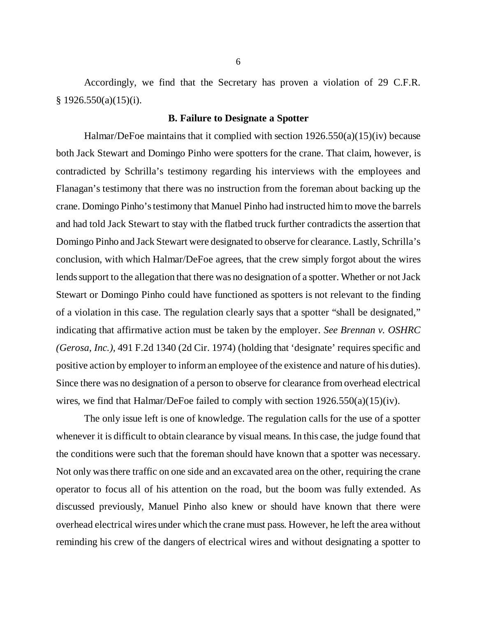Accordingly, we find that the Secretary has proven a violation of 29 C.F.R.  $§ 1926.550(a)(15)(i).$ 

#### **B. Failure to Designate a Spotter**

Halmar/DeFoe maintains that it complied with section 1926.550(a)(15)(iv) because both Jack Stewart and Domingo Pinho were spotters for the crane. That claim, however, is contradicted by Schrilla's testimony regarding his interviews with the employees and Flanagan's testimony that there was no instruction from the foreman about backing up the crane. Domingo Pinho's testimony that Manuel Pinho had instructed him to move the barrels and had told Jack Stewart to stay with the flatbed truck further contradicts the assertion that Domingo Pinho and Jack Stewart were designated to observe for clearance. Lastly, Schrilla's conclusion, with which Halmar/DeFoe agrees, that the crew simply forgot about the wires lends support to the allegation that there was no designation of a spotter. Whether or not Jack Stewart or Domingo Pinho could have functioned as spotters is not relevant to the finding of a violation in this case. The regulation clearly says that a spotter "shall be designated," indicating that affirmative action must be taken by the employer. *See Brennan v. OSHRC (Gerosa, Inc.),* 491 F.2d 1340 (2d Cir. 1974) (holding that 'designate' requires specific and positive action by employer to inform an employee of the existence and nature of his duties). Since there was no designation of a person to observe for clearance from overhead electrical wires, we find that Halmar/DeFoe failed to comply with section 1926.550(a)(15)(iv).

The only issue left is one of knowledge. The regulation calls for the use of a spotter whenever it is difficult to obtain clearance by visual means. In this case, the judge found that the conditions were such that the foreman should have known that a spotter was necessary. Not only was there traffic on one side and an excavated area on the other, requiring the crane operator to focus all of his attention on the road, but the boom was fully extended. As discussed previously, Manuel Pinho also knew or should have known that there were overhead electrical wires under which the crane must pass. However, he left the area without reminding his crew of the dangers of electrical wires and without designating a spotter to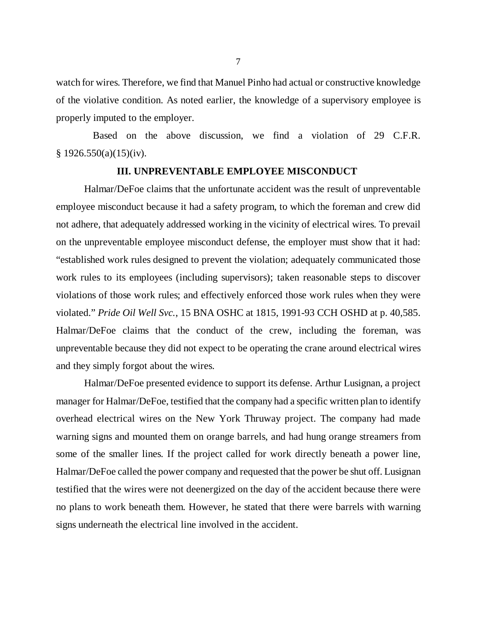watch for wires. Therefore, we find that Manuel Pinho had actual or constructive knowledge of the violative condition. As noted earlier, the knowledge of a supervisory employee is properly imputed to the employer.

 Based on the above discussion, we find a violation of 29 C.F.R.  $§ 1926.550(a)(15)(iv).$ 

#### **III. UNPREVENTABLE EMPLOYEE MISCONDUCT**

Halmar/DeFoe claims that the unfortunate accident was the result of unpreventable employee misconduct because it had a safety program, to which the foreman and crew did not adhere, that adequately addressed working in the vicinity of electrical wires. To prevail on the unpreventable employee misconduct defense, the employer must show that it had: "established work rules designed to prevent the violation; adequately communicated those work rules to its employees (including supervisors); taken reasonable steps to discover violations of those work rules; and effectively enforced those work rules when they were violated."*Pride Oil Well Svc.*, 15 BNA OSHC at 1815, 1991-93 CCH OSHD at p. 40,585. Halmar/DeFoe claims that the conduct of the crew, including the foreman, was unpreventable because they did not expect to be operating the crane around electrical wires and they simply forgot about the wires.

Halmar/DeFoe presented evidence to support its defense. Arthur Lusignan, a project manager for Halmar/DeFoe, testified that the company had a specific written plan to identify overhead electrical wires on the New York Thruway project. The company had made warning signs and mounted them on orange barrels, and had hung orange streamers from some of the smaller lines. If the project called for work directly beneath a power line, Halmar/DeFoe called the power company and requested that the power be shut off. Lusignan testified that the wires were not deenergized on the day of the accident because there were no plans to work beneath them. However, he stated that there were barrels with warning signs underneath the electrical line involved in the accident.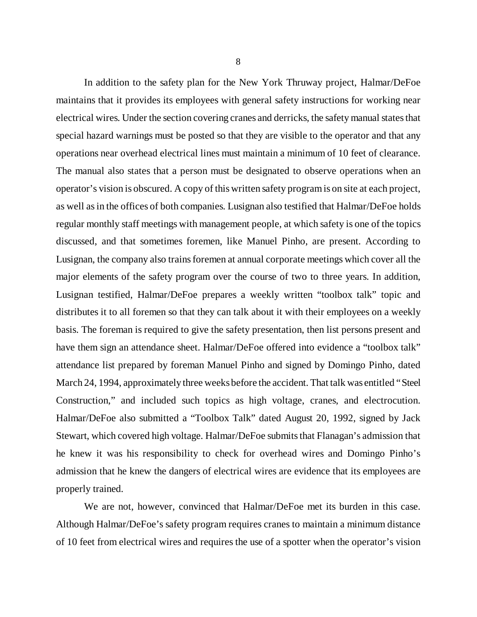In addition to the safety plan for the New York Thruway project, Halmar/DeFoe maintains that it provides its employees with general safety instructions for working near electrical wires. Under the section covering cranes and derricks, the safety manual states that special hazard warnings must be posted so that they are visible to the operator and that any operations near overhead electrical lines must maintain a minimum of 10 feet of clearance. The manual also states that a person must be designated to observe operations when an operator's vision is obscured. A copy of this written safety program is on site at each project, as well as in the offices of both companies. Lusignan also testified that Halmar/DeFoe holds regular monthly staff meetings with management people, at which safety is one of the topics discussed, and that sometimes foremen, like Manuel Pinho, are present. According to Lusignan, the company also trains foremen at annual corporate meetings which cover all the major elements of the safety program over the course of two to three years. In addition, Lusignan testified, Halmar/DeFoe prepares a weekly written "toolbox talk" topic and distributes it to all foremen so that they can talk about it with their employees on a weekly basis. The foreman is required to give the safety presentation, then list persons present and have them sign an attendance sheet. Halmar/DeFoe offered into evidence a "toolbox talk" attendance list prepared by foreman Manuel Pinho and signed by Domingo Pinho, dated March 24, 1994, approximately three weeks before the accident. That talk was entitled "Steel Construction," and included such topics as high voltage, cranes, and electrocution. Halmar/DeFoe also submitted a "Toolbox Talk" dated August 20, 1992, signed by Jack Stewart, which covered high voltage. Halmar/DeFoe submits that Flanagan's admission that he knew it was his responsibility to check for overhead wires and Domingo Pinho's admission that he knew the dangers of electrical wires are evidence that its employees are properly trained.

We are not, however, convinced that Halmar/DeFoe met its burden in this case. Although Halmar/DeFoe's safety program requires cranes to maintain a minimum distance of 10 feet from electrical wires and requires the use of a spotter when the operator's vision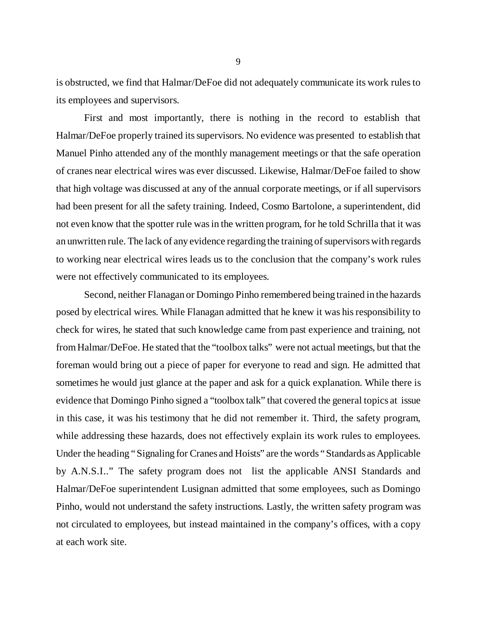is obstructed, we find that Halmar/DeFoe did not adequately communicate its work rules to its employees and supervisors.

First and most importantly, there is nothing in the record to establish that Halmar/DeFoe properly trained its supervisors. No evidence was presented to establish that Manuel Pinho attended any of the monthly management meetings or that the safe operation of cranes near electrical wires was ever discussed. Likewise, Halmar/DeFoe failed to show that high voltage was discussed at any of the annual corporate meetings, or if all supervisors had been present for all the safety training. Indeed, Cosmo Bartolone, a superintendent, did not even know that the spotter rule was in the written program, for he told Schrilla that it was an unwritten rule. The lack of any evidence regarding the training of supervisors with regards to working near electrical wires leads us to the conclusion that the company's work rules were not effectively communicated to its employees.

Second, neither Flanagan or Domingo Pinho remembered being trained in the hazards posed by electrical wires. While Flanagan admitted that he knew it was his responsibility to check for wires, he stated that such knowledge came from past experience and training, not from Halmar/DeFoe. He stated that the "toolbox talks" were not actual meetings, but that the foreman would bring out a piece of paper for everyone to read and sign. He admitted that sometimes he would just glance at the paper and ask for a quick explanation. While there is evidence that Domingo Pinho signed a "toolbox talk" that covered the general topics at issue in this case, it was his testimony that he did not remember it. Third, the safety program, while addressing these hazards, does not effectively explain its work rules to employees. Under the heading "Signaling for Cranes and Hoists" are the words "Standards as Applicable by A.N.S.I.." The safety program does not list the applicable ANSI Standards and Halmar/DeFoe superintendent Lusignan admitted that some employees, such as Domingo Pinho, would not understand the safety instructions. Lastly, the written safety program was not circulated to employees, but instead maintained in the company's offices, with a copy at each work site.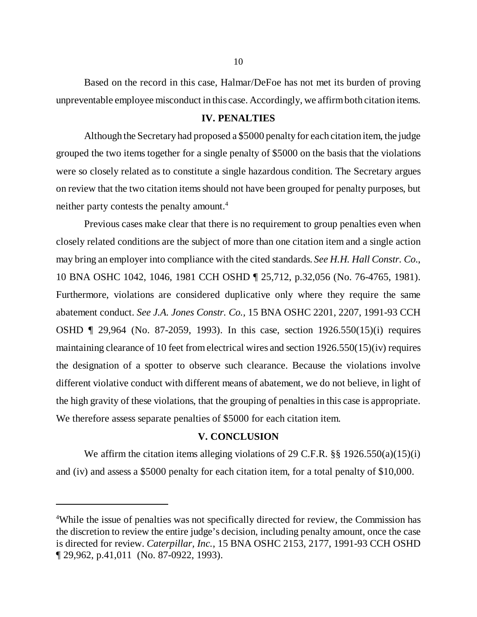Based on the record in this case, Halmar/DeFoe has not met its burden of proving unpreventable employee misconduct in this case. Accordingly, we affirm both citation items.

## **IV. PENALTIES**

Although the Secretary had proposed a \$5000 penalty for each citation item, the judge grouped the two items together for a single penalty of \$5000 on the basis that the violations were so closely related as to constitute a single hazardous condition. The Secretary argues on review that the two citation items should not have been grouped for penalty purposes, but neither party contests the penalty amount.<sup>4</sup>

Previous cases make clear that there is no requirement to group penalties even when closely related conditions are the subject of more than one citation item and a single action may bring an employer into compliance with the cited standards. *See H.H. Hall Constr. Co*., 10 BNA OSHC 1042, 1046, 1981 CCH OSHD ¶ 25,712, p.32,056 (No. 76-4765, 1981). Furthermore, violations are considered duplicative only where they require the same abatement conduct. *See J.A. Jones Constr. Co.,* 15 BNA OSHC 2201, 2207, 1991-93 CCH OSHD ¶ 29,964 (No. 87-2059, 1993). In this case, section 1926.550(15)(i) requires maintaining clearance of 10 feet from electrical wires and section 1926.550(15)(iv) requires the designation of a spotter to observe such clearance. Because the violations involve different violative conduct with different means of abatement, we do not believe, in light of the high gravity of these violations, that the grouping of penalties in this case is appropriate. We therefore assess separate penalties of \$5000 for each citation item.

# **V. CONCLUSION**

We affirm the citation items alleging violations of 29 C.F.R. §§ 1926.550(a)(15)(i) and (iv) and assess a \$5000 penalty for each citation item, for a total penalty of \$10,000.

<sup>&</sup>lt;sup>4</sup>While the issue of penalties was not specifically directed for review, the Commission has the discretion to review the entire judge's decision, including penalty amount, once the case is directed for review. *Caterpillar, Inc.*, 15 BNA OSHC 2153, 2177, 1991-93 CCH OSHD ¶ 29,962, p.41,011 (No. 87-0922, 1993).